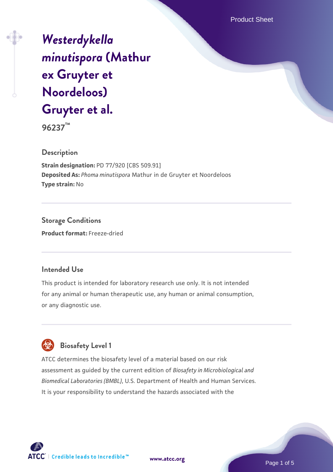Product Sheet

# *[Westerdykella](https://www.atcc.org/products/96237) [minutispora](https://www.atcc.org/products/96237)* **[\(Mathur](https://www.atcc.org/products/96237) [ex Gruyter et](https://www.atcc.org/products/96237) [Noordeloos\)](https://www.atcc.org/products/96237) [Gruyter et al.](https://www.atcc.org/products/96237)**

**96237™**

## **Description**

**Strain designation:** PD 77/920 [CBS 509.91] **Deposited As:** *Phoma minutispora* Mathur in de Gruyter et Noordeloos **Type strain:** No

**Storage Conditions Product format:** Freeze-dried

## **Intended Use**

This product is intended for laboratory research use only. It is not intended for any animal or human therapeutic use, any human or animal consumption, or any diagnostic use.

# **Biosafety Level 1**

ATCC determines the biosafety level of a material based on our risk assessment as guided by the current edition of *Biosafety in Microbiological and Biomedical Laboratories (BMBL)*, U.S. Department of Health and Human Services. It is your responsibility to understand the hazards associated with the



**[www.atcc.org](http://www.atcc.org)**

Page 1 of 5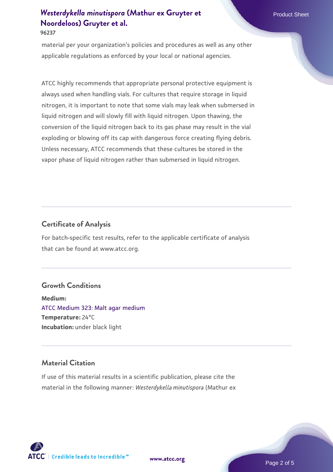# *[Westerdykella minutispora](https://www.atcc.org/products/96237)* [\(Mathur ex Gruyter et](https://www.atcc.org/products/96237) Product Sheet **[Noordeloos\) Gruyter et al.](https://www.atcc.org/products/96237)**

**96237**

material per your organization's policies and procedures as well as any other applicable regulations as enforced by your local or national agencies.

ATCC highly recommends that appropriate personal protective equipment is always used when handling vials. For cultures that require storage in liquid nitrogen, it is important to note that some vials may leak when submersed in liquid nitrogen and will slowly fill with liquid nitrogen. Upon thawing, the conversion of the liquid nitrogen back to its gas phase may result in the vial exploding or blowing off its cap with dangerous force creating flying debris. Unless necessary, ATCC recommends that these cultures be stored in the vapor phase of liquid nitrogen rather than submersed in liquid nitrogen.

## **Certificate of Analysis**

For batch-specific test results, refer to the applicable certificate of analysis that can be found at www.atcc.org.

## **Growth Conditions**

**Medium:**  [ATCC Medium 323: Malt agar medium](https://www.atcc.org/-/media/product-assets/documents/microbial-media-formulations/3/2/3/atcc-medium-323.pdf?rev=58d6457ee20149d7a1c844947569ef92) **Temperature:** 24°C **Incubation:** under black light

## **Material Citation**

If use of this material results in a scientific publication, please cite the material in the following manner: *Westerdykella minutispora* (Mathur ex

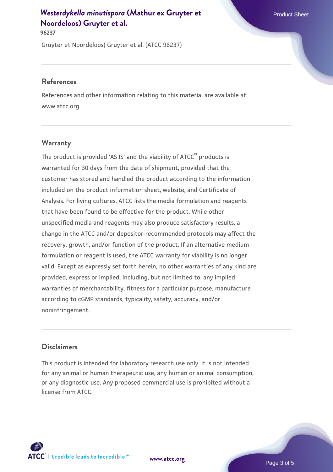## *[Westerdykella minutispora](https://www.atcc.org/products/96237)* [\(Mathur ex Gruyter et](https://www.atcc.org/products/96237) Product Sheet **[Noordeloos\) Gruyter et al.](https://www.atcc.org/products/96237)**

**96237**

Gruyter et Noordeloos) Gruyter et al. (ATCC 96237)

#### **References**

References and other information relating to this material are available at www.atcc.org.

## **Warranty**

The product is provided 'AS IS' and the viability of ATCC® products is warranted for 30 days from the date of shipment, provided that the customer has stored and handled the product according to the information included on the product information sheet, website, and Certificate of Analysis. For living cultures, ATCC lists the media formulation and reagents that have been found to be effective for the product. While other unspecified media and reagents may also produce satisfactory results, a change in the ATCC and/or depositor-recommended protocols may affect the recovery, growth, and/or function of the product. If an alternative medium formulation or reagent is used, the ATCC warranty for viability is no longer valid. Except as expressly set forth herein, no other warranties of any kind are provided, express or implied, including, but not limited to, any implied warranties of merchantability, fitness for a particular purpose, manufacture according to cGMP standards, typicality, safety, accuracy, and/or noninfringement.

## **Disclaimers**

This product is intended for laboratory research use only. It is not intended for any animal or human therapeutic use, any human or animal consumption, or any diagnostic use. Any proposed commercial use is prohibited without a license from ATCC.



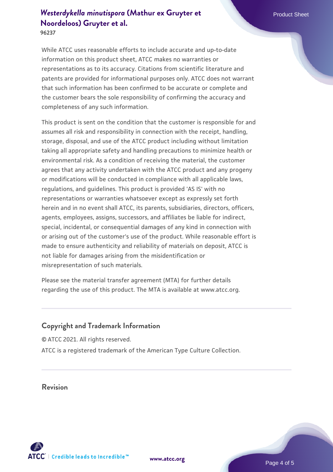**96237**

While ATCC uses reasonable efforts to include accurate and up-to-date information on this product sheet, ATCC makes no warranties or representations as to its accuracy. Citations from scientific literature and patents are provided for informational purposes only. ATCC does not warrant that such information has been confirmed to be accurate or complete and the customer bears the sole responsibility of confirming the accuracy and completeness of any such information.

This product is sent on the condition that the customer is responsible for and assumes all risk and responsibility in connection with the receipt, handling, storage, disposal, and use of the ATCC product including without limitation taking all appropriate safety and handling precautions to minimize health or environmental risk. As a condition of receiving the material, the customer agrees that any activity undertaken with the ATCC product and any progeny or modifications will be conducted in compliance with all applicable laws, regulations, and guidelines. This product is provided 'AS IS' with no representations or warranties whatsoever except as expressly set forth herein and in no event shall ATCC, its parents, subsidiaries, directors, officers, agents, employees, assigns, successors, and affiliates be liable for indirect, special, incidental, or consequential damages of any kind in connection with or arising out of the customer's use of the product. While reasonable effort is made to ensure authenticity and reliability of materials on deposit, ATCC is not liable for damages arising from the misidentification or misrepresentation of such materials.

Please see the material transfer agreement (MTA) for further details regarding the use of this product. The MTA is available at www.atcc.org.

## **Copyright and Trademark Information**

© ATCC 2021. All rights reserved. ATCC is a registered trademark of the American Type Culture Collection.

## **Revision**